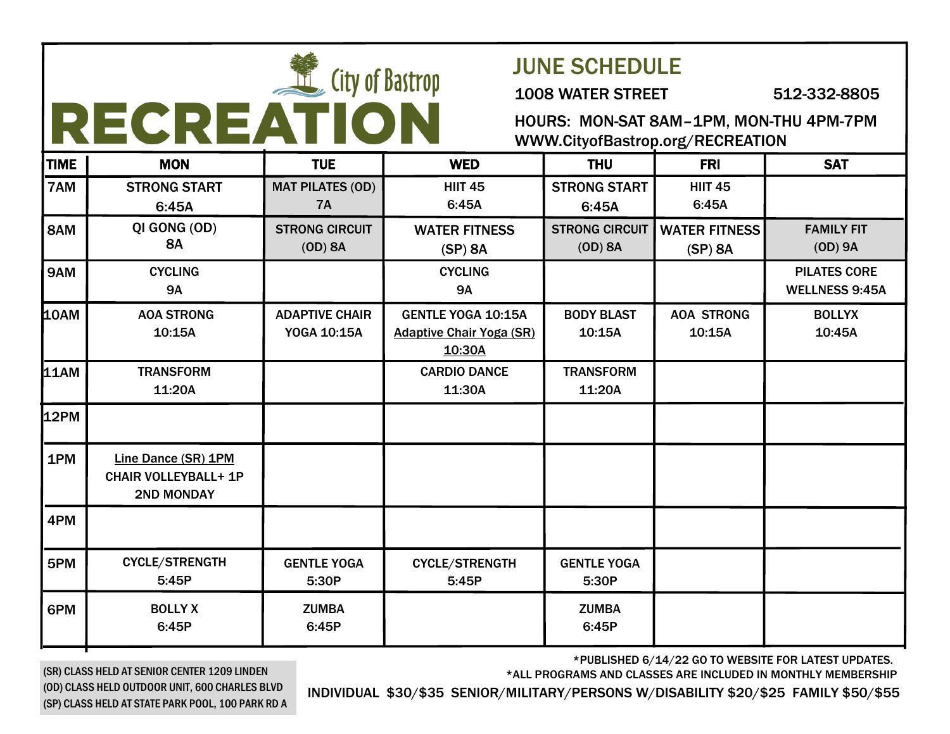|             |                                                                         | <b>City of Bastrop</b><br>RECREATION |                                                                        | <b>JUNE SCHEDULE</b><br><b>1008 WATER STREET</b><br>HOURS: MON-SAT 8AM-1PM, MON-THU 4PM-7PM<br>WWW.CityofBastrop.org/RECREATION |                                 | 512-332-8805                                 |
|-------------|-------------------------------------------------------------------------|--------------------------------------|------------------------------------------------------------------------|---------------------------------------------------------------------------------------------------------------------------------|---------------------------------|----------------------------------------------|
| <b>TIME</b> | <b>MON</b>                                                              | <b>TUE</b>                           | <b>WED</b>                                                             | <b>THU</b>                                                                                                                      | <b>FRI</b>                      | <b>SAT</b>                                   |
| 7AM         | <b>STRONG START</b><br>6:45A                                            | <b>MAT PILATES (OD)</b><br><b>7A</b> | <b>HIIT 45</b><br>6:45A                                                | <b>STRONG START</b><br>6:45A                                                                                                    | <b>HIIT 45</b><br>6:45A         |                                              |
| 8AM         | QI GONG (OD)<br><b>8A</b>                                               | <b>STRONG CIRCUIT</b><br>$(OD)$ 8A   | <b>WATER FITNESS</b><br>$(SP)$ 8A                                      | <b>STRONG CIRCUIT</b><br>$(OD)$ 8A                                                                                              | <b>WATER FITNESS</b><br>(SP) 8A | <b>FAMILY FIT</b><br>$(OD)$ 9A               |
| 9AM         | <b>CYCLING</b><br><b>9A</b>                                             |                                      | <b>CYCLING</b><br><b>9A</b>                                            |                                                                                                                                 |                                 | <b>PILATES CORE</b><br><b>WELLNESS 9:45A</b> |
| 10AM        | <b>AOA STRONG</b><br>10:15A                                             | <b>ADAPTIVE CHAIR</b><br>YOGA 10:15A | <b>GENTLE YOGA 10:15A</b><br><b>Adaptive Chair Yoga (SR)</b><br>10:30A | <b>BODY BLAST</b><br>10:15A                                                                                                     | <b>AOA STRONG</b><br>10:15A     | <b>BOLLYX</b><br>10:45A                      |
| <b>11AM</b> | <b>TRANSFORM</b><br>11:20A                                              |                                      | <b>CARDIO DANCE</b><br>11:30A                                          | <b>TRANSFORM</b><br>11:20A                                                                                                      |                                 |                                              |
| <b>12PM</b> |                                                                         |                                      |                                                                        |                                                                                                                                 |                                 |                                              |
| 1PM         | Line Dance (SR) 1PM<br><b>CHAIR VOLLEYBALL+ 1P</b><br><b>2ND MONDAY</b> |                                      |                                                                        |                                                                                                                                 |                                 |                                              |
| 4PM         |                                                                         |                                      |                                                                        |                                                                                                                                 |                                 |                                              |
| 5PM         | <b>CYCLE/STRENGTH</b><br>5:45P                                          | <b>GENTLE YOGA</b><br>5:30P          | CYCLE/STRENGTH<br>5:45P                                                | <b>GENTLE YOGA</b><br>5:30P                                                                                                     |                                 |                                              |
| 6PM         | <b>BOLLY X</b><br>6:45P                                                 | <b>ZUMBA</b><br>6:45P                |                                                                        | <b>ZUMBA</b><br>6:45P                                                                                                           |                                 |                                              |

\*PUBLISHED 6/14/22 GO TO WEBSITE FOR LATEST UPDATES.

\*ALL PROGRAMS AND CLASSES ARE INCLUDED IN MONTHLY MEMBERSHIP

(SR) CLASS HELD AT SENIOR CENTER 1209 LINDEN (OD) CLASS HELD OUTDOOR UNIT, 600 CHARLES BLVD (SP) CLASS HELD AT STATE PARK POOL, 100 PARK RD A

INDIVIDUAL \$30/\$35 SENIOR/MILITARY/PERSONS W/DISABILITY \$20/\$25 FAMILY \$50/\$55